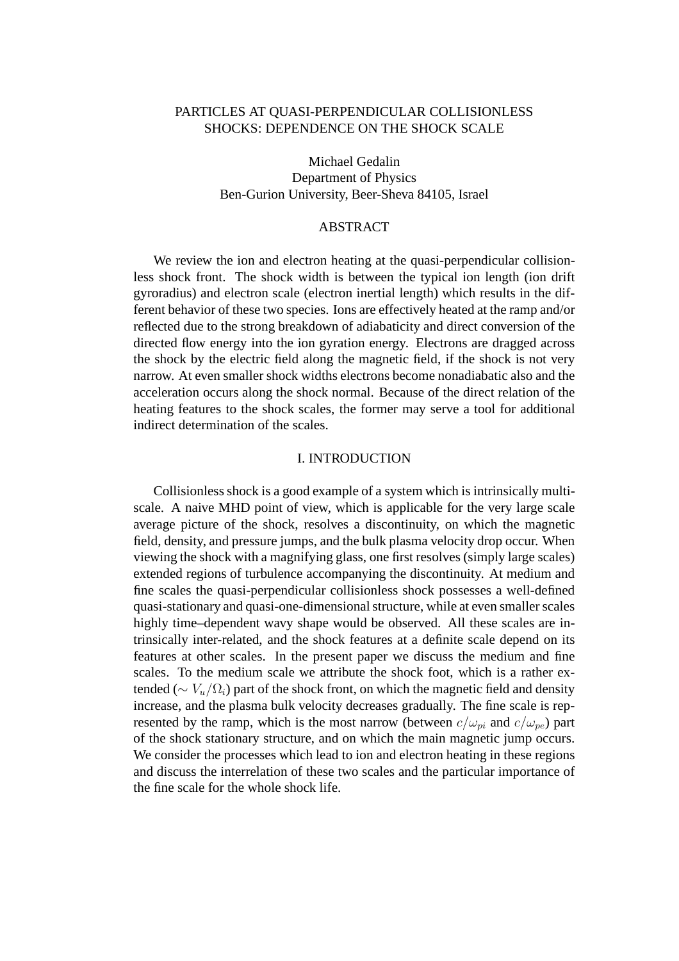# PARTICLES AT QUASI-PERPENDICULAR COLLISIONLESS SHOCKS: DEPENDENCE ON THE SHOCK SCALE

Michael Gedalin Department of Physics Ben-Gurion University, Beer-Sheva 84105, Israel

## ABSTRACT

We review the ion and electron heating at the quasi-perpendicular collisionless shock front. The shock width is between the typical ion length (ion drift gyroradius) and electron scale (electron inertial length) which results in the different behavior of these two species. Ions are effectively heated at the ramp and/or reflected due to the strong breakdown of adiabaticity and direct conversion of the directed flow energy into the ion gyration energy. Electrons are dragged across the shock by the electric field along the magnetic field, if the shock is not very narrow. At even smaller shock widths electrons become nonadiabatic also and the acceleration occurs along the shock normal. Because of the direct relation of the heating features to the shock scales, the former may serve a tool for additional indirect determination of the scales.

### I. INTRODUCTION

Collisionless shock is a good example of a system which is intrinsically multiscale. A naive MHD point of view, which is applicable for the very large scale average picture of the shock, resolves a discontinuity, on which the magnetic field, density, and pressure jumps, and the bulk plasma velocity drop occur. When viewing the shock with a magnifying glass, one first resolves (simply large scales) extended regions of turbulence accompanying the discontinuity. At medium and fine scales the quasi-perpendicular collisionless shock possesses a well-defined quasi-stationary and quasi-one-dimensional structure, while at even smaller scales highly time–dependent wavy shape would be observed. All these scales are intrinsically inter-related, and the shock features at a definite scale depend on its features at other scales. In the present paper we discuss the medium and fine scales. To the medium scale we attribute the shock foot, which is a rather extended ( $\sim V_u/\Omega_i$ ) part of the shock front, on which the magnetic field and density increase, and the plasma bulk velocity decreases gradually. The fine scale is represented by the ramp, which is the most narrow (between  $c/\omega_{ni}$  and  $c/\omega_{pe}$ ) part of the shock stationary structure, and on which the main magnetic jump occurs. We consider the processes which lead to ion and electron heating in these regions and discuss the interrelation of these two scales and the particular importance of the fine scale for the whole shock life.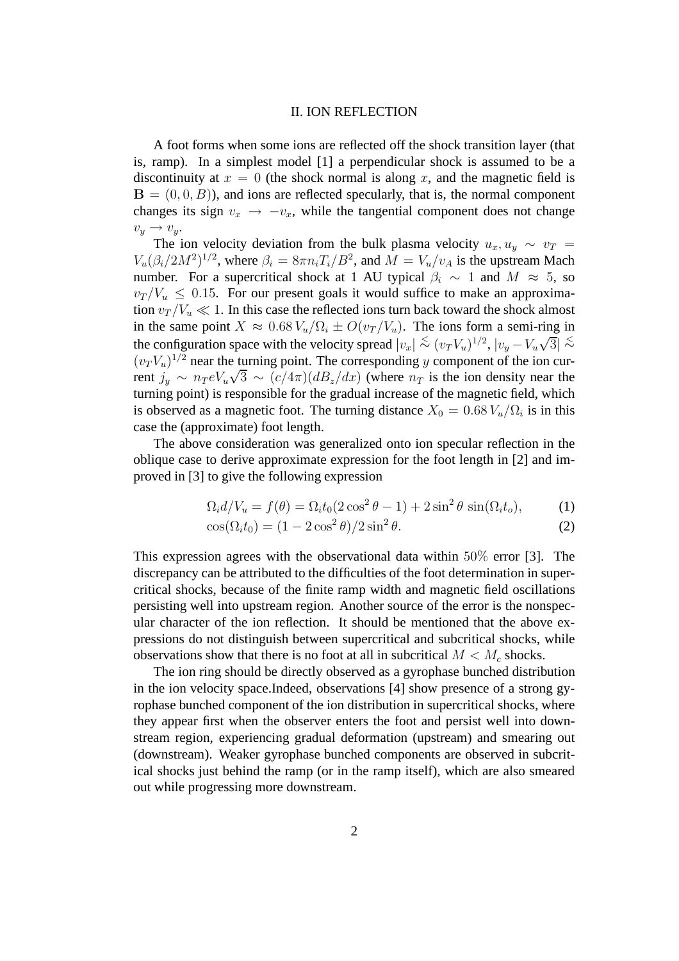#### II. ION REFLECTION

A foot forms when some ions are reflected off the shock transition layer (that is, ramp). In a simplest model [1] a perpendicular shock is assumed to be a discontinuity at  $x = 0$  (the shock normal is along x, and the magnetic field is  $\mathbf{B} = (0, 0, B)$ , and ions are reflected specularly, that is, the normal component changes its sign  $v_x \rightarrow -v_x$ , while the tangential component does not change  $v_y \rightarrow v_y.$ 

The ion velocity deviation from the bulk plasma velocity  $u_x, u_y \sim v_T$  $V_u(\beta_i/2M^2)^{1/2}$ , where  $\beta_i = 8\pi n_i T_i/B^2$ , and  $\overline{M} = V_u/v_A$  is the upstream Mach number. For a supercritical shock at 1 AU typical  $\beta_i \sim 1$  and  $M \approx 5$ , so  $v_T / V_u \leq 0.15$ . For our present goals it would suffice to make an approximation  $v_T / V_u \ll 1$ . In this case the reflected ions turn back toward the shock almost in the same point  $X \approx 0.68 V_u / \Omega_i \pm O(v_T / V_u)$ . The ions form a semi-ring in the configuration space with the velocity spread  $|v_x| \stackrel{<}{\sim} (v_T V_u)^{1/2}$ ,  $|v_y - V_u \sqrt{3}| \stackrel{<}{\sim}$  $(v_T V_u)^{1/2}$  near the turning point. The corresponding y component of the ion current  $j_y \sim n_T eV_u \sqrt{3} \sim (c/4\pi)(dB_z/dx)$  (where  $n_T$  is the ion density near the turning point) is responsible for the gradual increase of the magnetic field, which is observed as a magnetic foot. The turning distance  $X_0 = 0.68 V_u / \Omega_i$  is in this case the (approximate) foot length.

The above consideration was generalized onto ion specular reflection in the oblique case to derive approximate expression for the foot length in [2] and improved in [3] to give the following expression

$$
\Omega_i d/V_u = f(\theta) = \Omega_i t_0 (2 \cos^2 \theta - 1) + 2 \sin^2 \theta \sin(\Omega_i t_o), \tag{1}
$$

$$
\cos(\Omega_i t_0) = (1 - 2\cos^2 \theta)/2\sin^2 \theta.
$$
 (2)

This expression agrees with the observational data within 50% error [3]. The discrepancy can be attributed to the difficulties of the foot determination in supercritical shocks, because of the finite ramp width and magnetic field oscillations persisting well into upstream region. Another source of the error is the nonspecular character of the ion reflection. It should be mentioned that the above expressions do not distinguish between supercritical and subcritical shocks, while observations show that there is no foot at all in subcritical  $M < M_c$  shocks.

The ion ring should be directly observed as a gyrophase bunched distribution in the ion velocity space.Indeed, observations [4] show presence of a strong gyrophase bunched component of the ion distribution in supercritical shocks, where they appear first when the observer enters the foot and persist well into downstream region, experiencing gradual deformation (upstream) and smearing out (downstream). Weaker gyrophase bunched components are observed in subcritical shocks just behind the ramp (or in the ramp itself), which are also smeared out while progressing more downstream.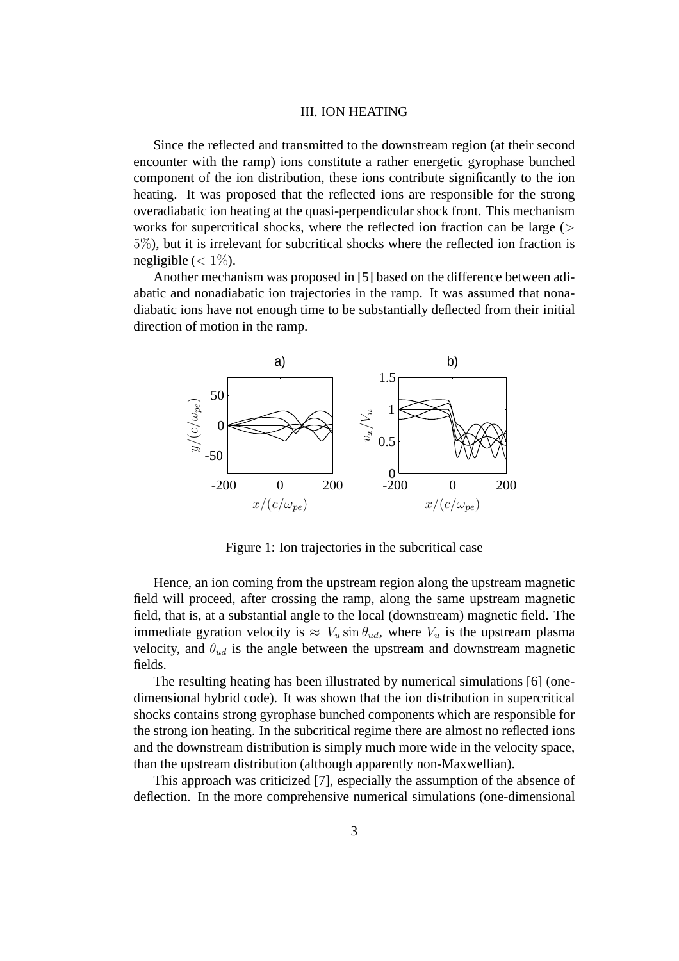### III. ION HEATING

Since the reflected and transmitted to the downstream region (at their second encounter with the ramp) ions constitute a rather energetic gyrophase bunched component of the ion distribution, these ions contribute significantly to the ion heating. It was proposed that the reflected ions are responsible for the strong overadiabatic ion heating at the quasi-perpendicular shock front. This mechanism works for supercritical shocks, where the reflected ion fraction can be large  $($ 5%), but it is irrelevant for subcritical shocks where the reflected ion fraction is negligible  $\left( < 1\% \right)$ .

Another mechanism was proposed in [5] based on the difference between adiabatic and nonadiabatic ion trajectories in the ramp. It was assumed that nonadiabatic ions have not enough time to be substantially deflected from their initial direction of motion in the ramp.



Figure 1: Ion trajectories in the subcritical case

Hence, an ion coming from the upstream region along the upstream magnetic field will proceed, after crossing the ramp, along the same upstream magnetic field, that is, at a substantial angle to the local (downstream) magnetic field. The immediate gyration velocity is  $\approx V_u \sin \theta_{ud}$ , where  $V_u$  is the upstream plasma velocity, and  $\theta_{ud}$  is the angle between the upstream and downstream magnetic fields.

The resulting heating has been illustrated by numerical simulations [6] (onedimensional hybrid code). It was shown that the ion distribution in supercritical shocks contains strong gyrophase bunched components which are responsible for the strong ion heating. In the subcritical regime there are almost no reflected ions and the downstream distribution is simply much more wide in the velocity space, than the upstream distribution (although apparently non-Maxwellian).

This approach was criticized [7], especially the assumption of the absence of deflection. In the more comprehensive numerical simulations (one-dimensional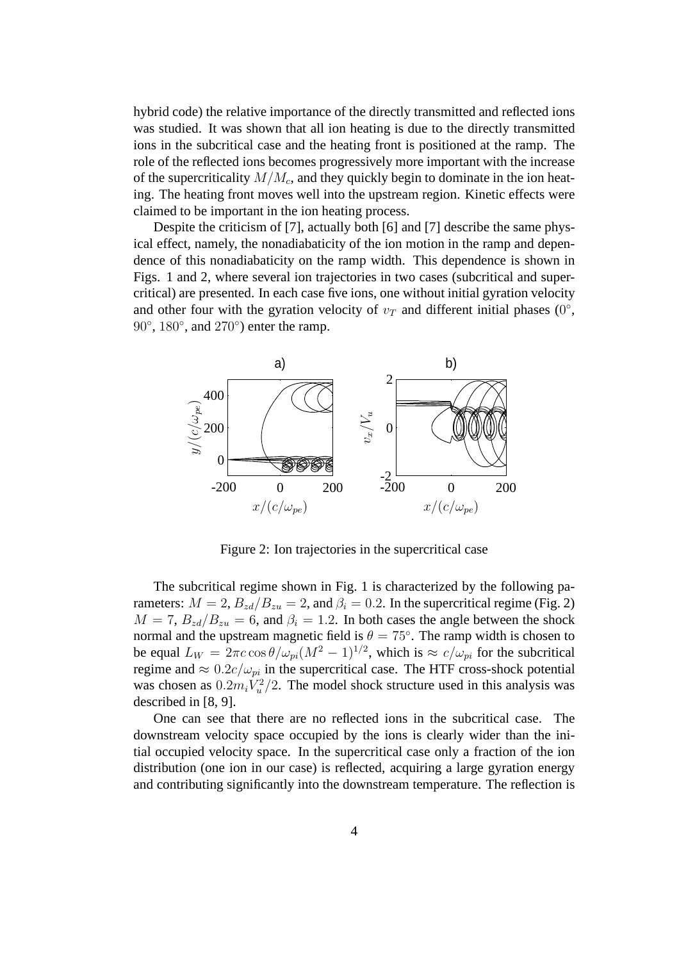hybrid code) the relative importance of the directly transmitted and reflected ions was studied. It was shown that all ion heating is due to the directly transmitted ions in the subcritical case and the heating front is positioned at the ramp. The role of the reflected ions becomes progressively more important with the increase of the supercriticality  $M/M_c$ , and they quickly begin to dominate in the ion heating. The heating front moves well into the upstream region. Kinetic effects were claimed to be important in the ion heating process.

Despite the criticism of [7], actually both [6] and [7] describe the same physical effect, namely, the nonadiabaticity of the ion motion in the ramp and dependence of this nonadiabaticity on the ramp width. This dependence is shown in Figs. 1 and 2, where several ion trajectories in two cases (subcritical and supercritical) are presented. In each case five ions, one without initial gyration velocity and other four with the gyration velocity of  $v_T$  and different initial phases (0°,  $90^\circ$ ,  $180^\circ$ , and  $270^\circ$ ) enter the ramp.



Figure 2: Ion trajectories in the supercritical case

The subcritical regime shown in Fig. 1 is characterized by the following parameters:  $M = 2$ ,  $B_{zd}/B_{zu} = 2$ , and  $\beta_i = 0.2$ . In the supercritical regime (Fig. 2)  $M = 7$ ,  $B_{zd}/B_{zu} = 6$ , and  $\beta_i = 1.2$ . In both cases the angle between the shock normal and the upstream magnetic field is  $\theta = 75^{\circ}$ . The ramp width is chosen to be equal  $L_W = 2\pi c \cos\theta / \omega_{pi} (M^2 - 1)^{1/2}$ , which is  $\approx c / \omega_{pi}$  for the subcritical regime and  $\approx 0.2c/\omega_{pi}$  in the supercritical case. The HTF cross-shock potential was chosen as  $0.2 m_i V_u^2$  $\frac{\pi^2}{2}$ . The model shock structure used in this analysis was described in [8, 9].

One can see that there are no reflected ions in the subcritical case. The downstream velocity space occupied by the ions is clearly wider than the initial occupied velocity space. In the supercritical case only a fraction of the ion distribution (one ion in our case) is reflected, acquiring a large gyration energy and contributing significantly into the downstream temperature. The reflection is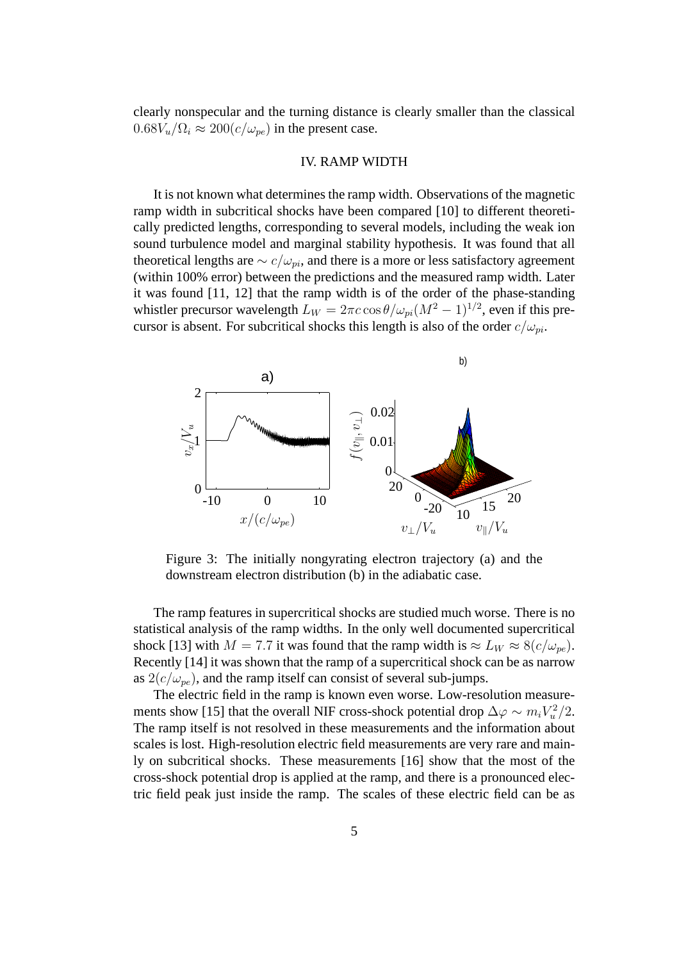clearly nonspecular and the turning distance is clearly smaller than the classical  $0.68V_u/\Omega_i \approx 200(c/\omega_{pe})$  in the present case.

### IV. RAMP WIDTH

It is not known what determines the ramp width. Observations of the magnetic ramp width in subcritical shocks have been compared [10] to different theoretically predicted lengths, corresponding to several models, including the weak ion sound turbulence model and marginal stability hypothesis. It was found that all theoretical lengths are  $\sim c/\omega_{pi}$ , and there is a more or less satisfactory agreement (within 100% error) between the predictions and the measured ramp width. Later it was found [11, 12] that the ramp width is of the order of the phase-standing whistler precursor wavelength  $L_W = 2\pi c \cos\theta / \omega_{pi} (M^2 - 1)^{1/2}$ , even if this precursor is absent. For subcritical shocks this length is also of the order  $c/\omega_{pi}$ .



Figure 3: The initially nongyrating electron trajectory (a) and the downstream electron distribution (b) in the adiabatic case.

The ramp features in supercritical shocks are studied much worse. There is no statistical analysis of the ramp widths. In the only well documented supercritical shock [13] with  $M = 7.7$  it was found that the ramp width is  $\approx L_W \approx 8(c/\omega_{pe})$ . Recently [14] it was shown that the ramp of a supercritical shock can be as narrow as  $2(c/\omega_{pe})$ , and the ramp itself can consist of several sub-jumps.

The electric field in the ramp is known even worse. Low-resolution measurements show [15] that the overall NIF cross-shock potential drop  $\Delta \varphi \sim m_i V_u^2$  $\binom{2}{u}$  / 2. The ramp itself is not resolved in these measurements and the information about scales is lost. High-resolution electric field measurements are very rare and mainly on subcritical shocks. These measurements [16] show that the most of the cross-shock potential drop is applied at the ramp, and there is a pronounced electric field peak just inside the ramp. The scales of these electric field can be as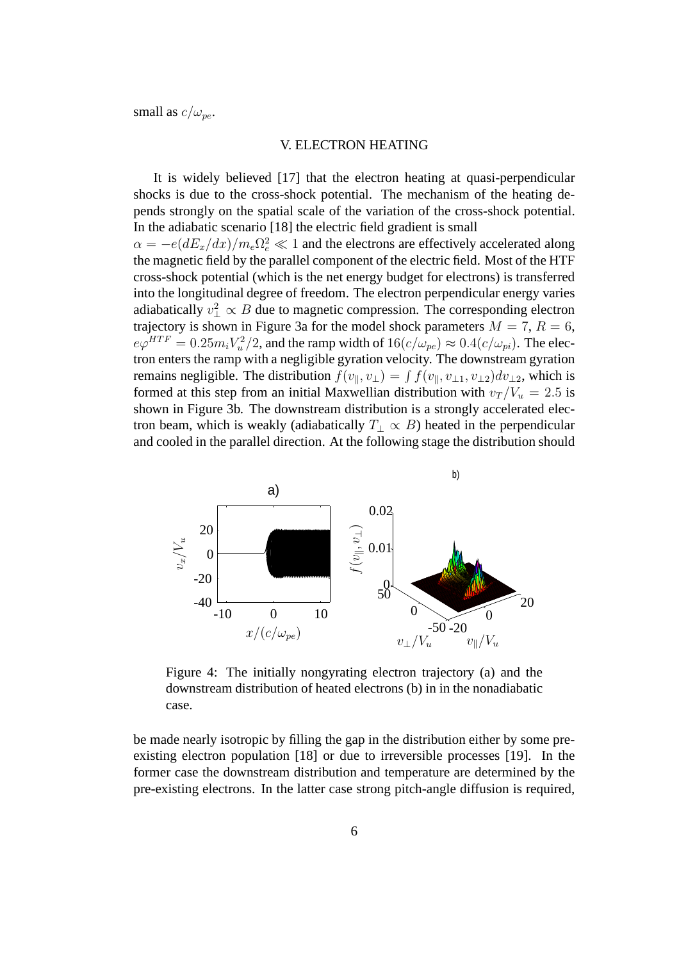small as  $c/\omega_{pe}$ .

### V. ELECTRON HEATING

It is widely believed [17] that the electron heating at quasi-perpendicular shocks is due to the cross-shock potential. The mechanism of the heating depends strongly on the spatial scale of the variation of the cross-shock potential. In the adiabatic scenario [18] the electric field gradient is small  $\alpha = -e(dE_x/dx)/m_e\Omega_e^2 \ll 1$  and the electrons are effectively accelerated along the magnetic field by the parallel component of the electric field. Most of the HTF cross-shock potential (which is the net energy budget for electrons) is transferred into the longitudinal degree of freedom. The electron perpendicular energy varies adiabatically  $v_{\perp}^2 \propto B$  due to magnetic compression. The corresponding electron trajectory is shown in Figure 3a for the model shock parameters  $M = 7$ ,  $R = 6$ ,  $e\varphi^{HTF}=0.25m_iV_u^2$  $u^2(u^2/2)$ , and the ramp width of  $16(c/\omega_{pe}) \approx 0.4(c/\omega_{pi})$ . The electron enters the ramp with a negligible gyration velocity. The downstream gyration remains negligible. The distribution  $f(v_{\parallel}, v_{\perp}) = \int f(v_{\parallel}, v_{\perp 1}, v_{\perp 2}) dv_{\perp 2}$ , which is formed at this step from an initial Maxwellian distribution with  $v_T / V_u = 2.5$  is shown in Figure 3b. The downstream distribution is a strongly accelerated electron beam, which is weakly (adiabatically  $T_{\perp} \propto B$ ) heated in the perpendicular and cooled in the parallel direction. At the following stage the distribution should



Figure 4: The initially nongyrating electron trajectory (a) and the downstream distribution of heated electrons (b) in in the nonadiabatic case.

be made nearly isotropic by filling the gap in the distribution either by some preexisting electron population [18] or due to irreversible processes [19]. In the former case the downstream distribution and temperature are determined by the pre-existing electrons. In the latter case strong pitch-angle diffusion is required,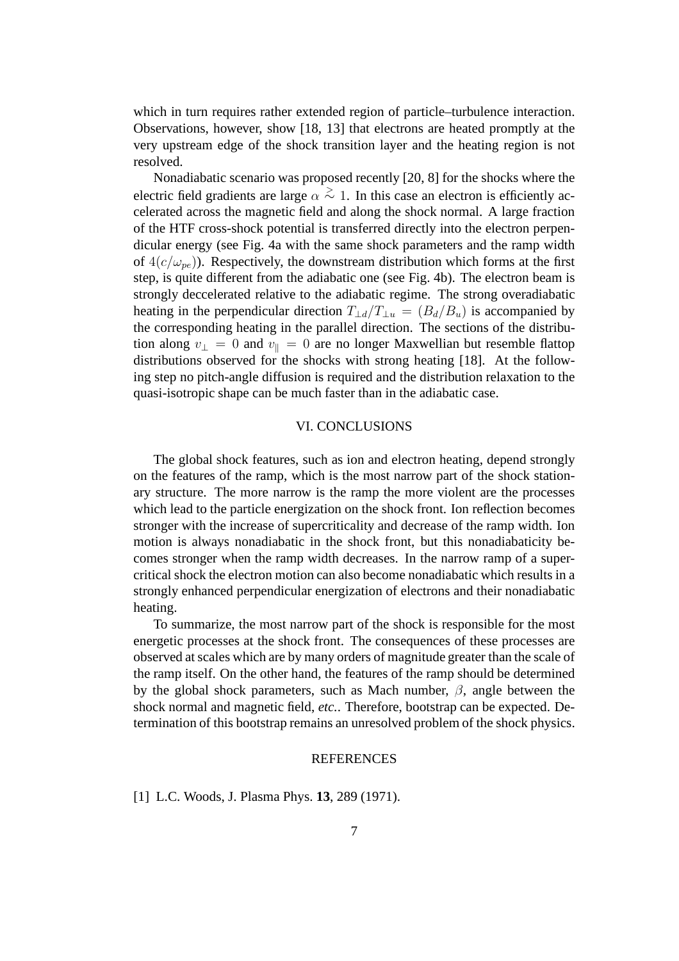which in turn requires rather extended region of particle–turbulence interaction. Observations, however, show [18, 13] that electrons are heated promptly at the very upstream edge of the shock transition layer and the heating region is not resolved.

Nonadiabatic scenario was proposed recently [20, 8] for the shocks where the electric field gradients are large  $\alpha \stackrel{>}{\sim} 1$ . In this case an electron is efficiently accelerated across the magnetic field and along the shock normal. A large fraction of the HTF cross-shock potential is transferred directly into the electron perpendicular energy (see Fig. 4a with the same shock parameters and the ramp width of  $4(c/\omega_{pe})$ ). Respectively, the downstream distribution which forms at the first step, is quite different from the adiabatic one (see Fig. 4b). The electron beam is strongly deccelerated relative to the adiabatic regime. The strong overadiabatic heating in the perpendicular direction  $T_{\perp d}/T_{\perp u} = (B_d/B_u)$  is accompanied by the corresponding heating in the parallel direction. The sections of the distribution along  $v_{\perp} = 0$  and  $v_{\parallel} = 0$  are no longer Maxwellian but resemble flattop distributions observed for the shocks with strong heating [18]. At the following step no pitch-angle diffusion is required and the distribution relaxation to the quasi-isotropic shape can be much faster than in the adiabatic case.

#### VI. CONCLUSIONS

The global shock features, such as ion and electron heating, depend strongly on the features of the ramp, which is the most narrow part of the shock stationary structure. The more narrow is the ramp the more violent are the processes which lead to the particle energization on the shock front. Ion reflection becomes stronger with the increase of supercriticality and decrease of the ramp width. Ion motion is always nonadiabatic in the shock front, but this nonadiabaticity becomes stronger when the ramp width decreases. In the narrow ramp of a supercritical shock the electron motion can also become nonadiabatic which results in a strongly enhanced perpendicular energization of electrons and their nonadiabatic heating.

To summarize, the most narrow part of the shock is responsible for the most energetic processes at the shock front. The consequences of these processes are observed at scales which are by many orders of magnitude greater than the scale of the ramp itself. On the other hand, the features of the ramp should be determined by the global shock parameters, such as Mach number,  $\beta$ , angle between the shock normal and magnetic field, *etc.*. Therefore, bootstrap can be expected. Determination of this bootstrap remains an unresolved problem of the shock physics.

#### **REFERENCES**

[1] L.C. Woods, J. Plasma Phys. **13**, 289 (1971).